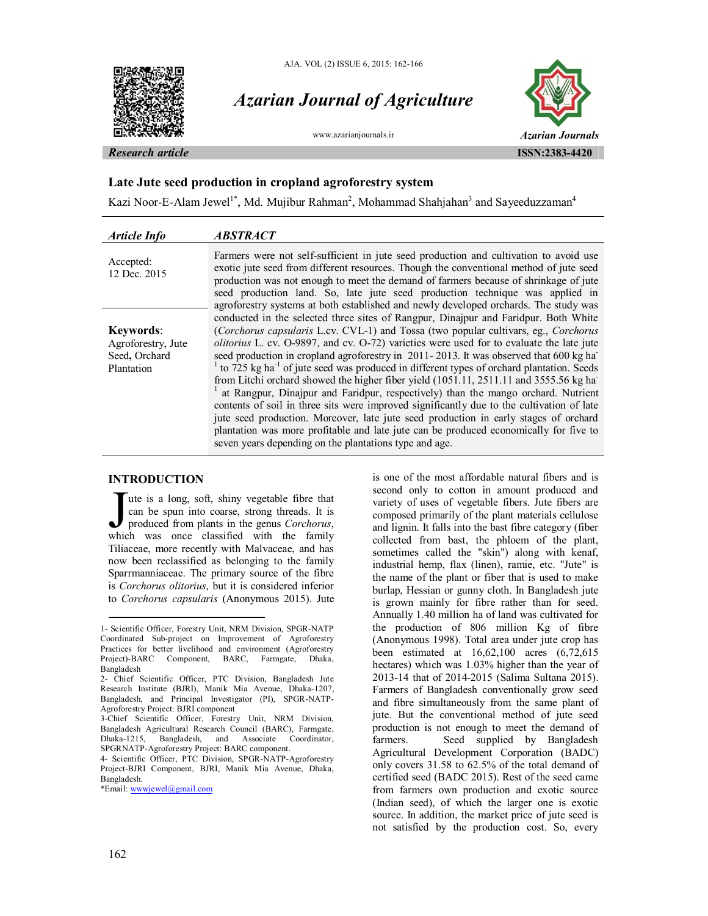

# *Azarian Journal of Agriculture*



### **Late Jute seed production in cropland agroforestry system**

Kazi Noor-E-Alam Jewel<sup>1\*</sup>, Md. Mujibur Rahman<sup>2</sup>, Mohammad Shahjahan<sup>3</sup> and Sayeeduzzaman<sup>4</sup>

| <b>Article Info</b>                                                   | <b>ABSTRACT</b>                                                                                                                                                                                                                                                                                                                                                                                                                                                                                                                                                                                                                                                                                                                                                                                                                                                                                                                                                                                   |
|-----------------------------------------------------------------------|---------------------------------------------------------------------------------------------------------------------------------------------------------------------------------------------------------------------------------------------------------------------------------------------------------------------------------------------------------------------------------------------------------------------------------------------------------------------------------------------------------------------------------------------------------------------------------------------------------------------------------------------------------------------------------------------------------------------------------------------------------------------------------------------------------------------------------------------------------------------------------------------------------------------------------------------------------------------------------------------------|
| Accepted:<br>12 Dec. 2015                                             | Farmers were not self-sufficient in jute seed production and cultivation to avoid use<br>exotic jute seed from different resources. Though the conventional method of jute seed<br>production was not enough to meet the demand of farmers because of shrinkage of jute<br>seed production land. So, late jute seed production technique was applied in<br>agroforestry systems at both established and newly developed orchards. The study was                                                                                                                                                                                                                                                                                                                                                                                                                                                                                                                                                   |
| <b>Keywords:</b><br>Agroforestry, Jute<br>Seed, Orchard<br>Plantation | conducted in the selected three sites of Rangpur, Dinajpur and Faridpur. Both White<br>(Corchorus capsularis L.cv. CVL-1) and Tossa (two popular cultivars, eg., Corchorus<br>olitorius L. cv. O-9897, and cv. O-72) varieties were used for to evaluate the late jute<br>seed production in cropland agroforestry in 2011-2013. It was observed that 600 kg ha<br>$1$ to 725 kg ha <sup>-1</sup> of jute seed was produced in different types of orchard plantation. Seeds<br>from Litchi orchard showed the higher fiber yield (1051.11, 2511.11 and 3555.56 kg ha<br>at Rangpur, Dinajpur and Faridpur, respectively) than the mango orchard. Nutrient<br>contents of soil in three sits were improved significantly due to the cultivation of late<br>jute seed production. Moreover, late jute seed production in early stages of orchard<br>plantation was more profitable and late jute can be produced economically for five to<br>seven years depending on the plantations type and age. |

## **INTRODUCTION<sup>1</sup>**

ute is a long, soft, shiny vegetable fibre that can be spun into coarse, strong threads. It is produced from plants in the genus *Corchorus*, Tute is a long, soft, shiny vegetable fibre that<br>can be spun into coarse, strong threads. It is<br>produced from plants in the genus *Corchorus*,<br>which was once classified with the family Tiliaceae, more recently with Malvaceae, and has now been reclassified as belonging to the family Sparrmanniaceae. The primary source of the fibre is *Corchorus olitorius*, but it is considered inferior to *Corchorus capsularis* (Anonymous 2015). Jute

is one of the most affordable natural fibers and is second only to cotton in amount produced and variety of uses of vegetable fibers. Jute fibers are composed primarily of the plant materials cellulose and lignin. It falls into the bast fibre category (fiber collected from bast, the phloem of the plant, sometimes called the "skin") along with kenaf, industrial hemp, flax (linen), ramie, etc. "Jute" is the name of the plant or fiber that is used to make burlap, Hessian or gunny cloth. In Bangladesh jute is grown mainly for fibre rather than for seed. Annually 1.40 million ha of land was cultivated for the production of 806 million Kg of fibre (Anonymous 1998). Total area under jute crop has been estimated at 16,62,100 acres (6,72,615 hectares) which was 1.03% higher than the year of 2013-14 that of 2014-2015 (Salima Sultana 2015). Farmers of Bangladesh conventionally grow seed and fibre simultaneously from the same plant of jute. But the conventional method of jute seed production is not enough to meet the demand of farmers. Seed supplied by Bangladesh Agricultural Development Corporation (BADC) only covers 31.58 to 62.5% of the total demand of certified seed (BADC 2015). Rest of the seed came from farmers own production and exotic source (Indian seed), of which the larger one is exotic source. In addition, the market price of jute seed is not satisfied by the production cost. So, every

 $\overline{a}$ 

<sup>1-</sup> Scientific Officer, Forestry Unit, NRM Division, SPGR-NATP Coordinated Sub-project on Improvement of Agroforestry Practices for better livelihood and environment (Agroforestry Project)-BARC Component, BARC, Farmgate, Dhaka, Bangladesh

<sup>2-</sup> Chief Scientific Officer, PTC Division, Bangladesh Jute Research Institute (BJRI), Manik Mia Avenue, Dhaka-1207, Bangladesh, and Principal Investigator (PI), SPGR-NATP-Agroforestry Project: BJRI component

<sup>3-</sup>Chief Scientific Officer, Forestry Unit, NRM Division, Bangladesh Agricultural Research Council (BARC), Farmgate, Dhaka-1215, Bangladesh, and Associate SPGRNATP-Agroforestry Project: BARC component.

<sup>4-</sup> Scientific Officer, PTC Division, SPGR-NATP-Agroforestry Project-BJRI Component, BJRI, Manik Mia Avenue, Dhaka, Bangladesh.

<sup>\*</sup>Email: wwwjewel@gmail.com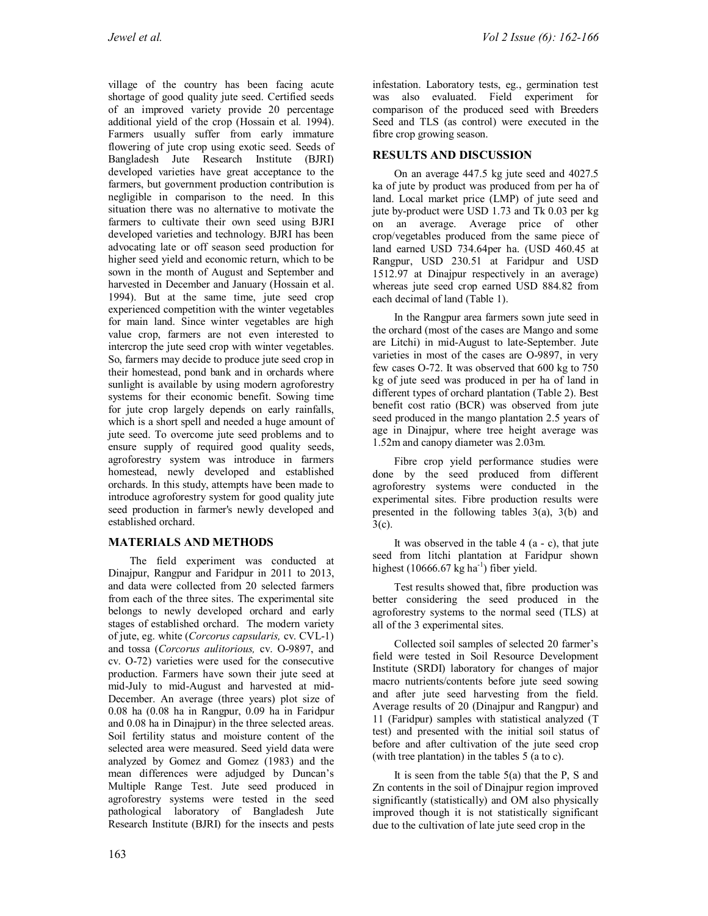village of the country has been facing acute shortage of good quality jute seed. Certified seeds of an improved variety provide 20 percentage additional yield of the crop (Hossain et al*.* 1994). Farmers usually suffer from early immature flowering of jute crop using exotic seed. Seeds of Bangladesh Jute Research Institute (BJRI) developed varieties have great acceptance to the farmers, but government production contribution is negligible in comparison to the need. In this situation there was no alternative to motivate the farmers to cultivate their own seed using BJRI developed varieties and technology. BJRI has been advocating late or off season seed production for higher seed yield and economic return, which to be sown in the month of August and September and harvested in December and January (Hossain et al. 1994). But at the same time, jute seed crop experienced competition with the winter vegetables for main land. Since winter vegetables are high value crop, farmers are not even interested to intercrop the jute seed crop with winter vegetables. So, farmers may decide to produce jute seed crop in their homestead, pond bank and in orchards where sunlight is available by using modern agroforestry systems for their economic benefit. Sowing time for jute crop largely depends on early rainfalls, which is a short spell and needed a huge amount of jute seed. To overcome jute seed problems and to ensure supply of required good quality seeds, agroforestry system was introduce in farmers homestead, newly developed and established orchards. In this study, attempts have been made to introduce agroforestry system for good quality jute seed production in farmer's newly developed and established orchard.

# **MATERIALS AND METHODS**

The field experiment was conducted at Dinajpur, Rangpur and Faridpur in 2011 to 2013, and data were collected from 20 selected farmers from each of the three sites. The experimental site belongs to newly developed orchard and early stages of established orchard. The modern variety of jute, eg. white (*Corcorus capsularis,* cv. CVL-1) and tossa (*Corcorus aulitorious,* cv. O-9897, and cv. O-72) varieties were used for the consecutive production. Farmers have sown their jute seed at mid-July to mid-August and harvested at mid-December. An average (three years) plot size of 0.08 ha (0.08 ha in Rangpur, 0.09 ha in Faridpur and 0.08 ha in Dinajpur) in the three selected areas. Soil fertility status and moisture content of the selected area were measured. Seed yield data were analyzed by Gomez and Gomez (1983) and the mean differences were adjudged by Duncan's Multiple Range Test. Jute seed produced in agroforestry systems were tested in the seed pathological laboratory of Bangladesh Jute Research Institute (BJRI) for the insects and pests

infestation. Laboratory tests, eg., germination test was also evaluated. Field experiment for comparison of the produced seed with Breeders Seed and TLS (as control) were executed in the fibre crop growing season.

# **RESULTS AND DISCUSSION**

On an average 447.5 kg jute seed and 4027.5 ka of jute by product was produced from per ha of land. Local market price (LMP) of jute seed and jute by-product were USD 1.73 and Tk 0.03 per kg on an average. Average price of other crop/vegetables produced from the same piece of land earned USD 734.64per ha. (USD 460.45 at Rangpur, USD 230.51 at Faridpur and USD 1512.97 at Dinajpur respectively in an average) whereas jute seed crop earned USD 884.82 from each decimal of land (Table 1).

In the Rangpur area farmers sown jute seed in the orchard (most of the cases are Mango and some are Litchi) in mid-August to late-September. Jute varieties in most of the cases are O-9897, in very few cases O-72. It was observed that 600 kg to 750 kg of jute seed was produced in per ha of land in different types of orchard plantation (Table 2). Best benefit cost ratio (BCR) was observed from jute seed produced in the mango plantation 2.5 years of age in Dinajpur, where tree height average was 1.52m and canopy diameter was 2.03m.

Fibre crop yield performance studies were done by the seed produced from different agroforestry systems were conducted in the experimental sites. Fibre production results were presented in the following tables 3(a), 3(b) and 3(c).

It was observed in the table  $4(a - c)$ , that jute seed from litchi plantation at Faridpur shown highest  $(10666.67 \text{ kg ha}^{-1})$  fiber yield.

Test results showed that, fibre production was better considering the seed produced in the agroforestry systems to the normal seed (TLS) at all of the 3 experimental sites.

Collected soil samples of selected 20 farmer's field were tested in Soil Resource Development Institute (SRDI) laboratory for changes of major macro nutrients/contents before jute seed sowing and after jute seed harvesting from the field. Average results of 20 (Dinajpur and Rangpur) and 11 (Faridpur) samples with statistical analyzed (T test) and presented with the initial soil status of before and after cultivation of the jute seed crop (with tree plantation) in the tables 5 (a to c).

It is seen from the table  $5(a)$  that the P, S and Zn contents in the soil of Dinajpur region improved significantly (statistically) and OM also physically improved though it is not statistically significant due to the cultivation of late jute seed crop in the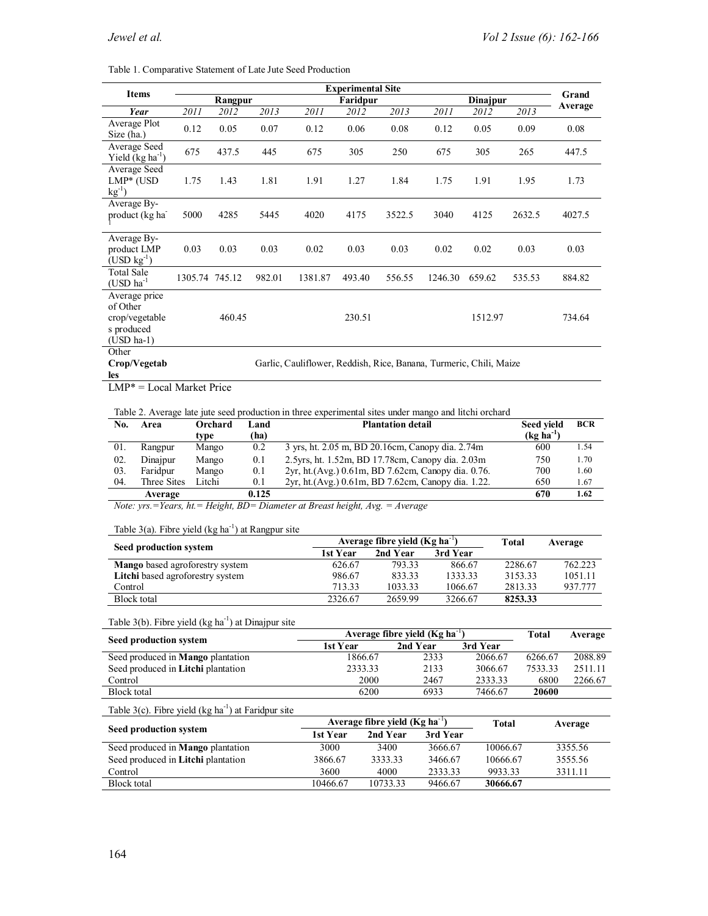Table 1. Comparative Statement of Late Jute Seed Production

|                                                                           | <b>Experimental Site</b>                                           |         |        |         |          |        |         |          |        |         |
|---------------------------------------------------------------------------|--------------------------------------------------------------------|---------|--------|---------|----------|--------|---------|----------|--------|---------|
| <b>Items</b>                                                              |                                                                    | Rangpur |        |         | Faridpur |        |         | Dinajpur |        | Grand   |
| Year                                                                      | 2011                                                               | 2012    | 2013   | 2011    | 2012     | 2013   | 2011    | 2012     | 2013   | Average |
| Average Plot<br>Size (ha.)                                                | 0.12                                                               | 0.05    | 0.07   | 0.12    | 0.06     | 0.08   | 0.12    | 0.05     | 0.09   | 0.08    |
| Average Seed<br>Yield $(kg ha^{-1})$                                      | 675                                                                | 437.5   | 445    | 675     | 305      | 250    | 675     | 305      | 265    | 447.5   |
| Average Seed<br>$LMP*$ (USD<br>$kg^{-1}$                                  | 1.75                                                               | 1.43    | 1.81   | 1.91    | 1.27     | 1.84   | 1.75    | 1.91     | 1.95   | 1.73    |
| Average By-<br>product (kg ha <sup>-</sup>                                | 5000                                                               | 4285    | 5445   | 4020    | 4175     | 3522.5 | 3040    | 4125     | 2632.5 | 4027.5  |
| Average By-<br>product LMP<br>$(USD kg^{-1})$                             | 0.03                                                               | 0.03    | 0.03   | 0.02    | 0.03     | 0.03   | 0.02    | 0.02     | 0.03   | 0.03    |
| <b>Total Sale</b><br>$(USD ha^{-1})$                                      | 1305.74 745.12                                                     |         | 982.01 | 1381.87 | 493.40   | 556.55 | 1246.30 | 659.62   | 535.53 | 884.82  |
| Average price<br>of Other<br>crop/vegetable<br>s produced<br>$(USD ha-1)$ |                                                                    | 460.45  |        |         | 230.51   |        |         | 1512.97  |        | 734.64  |
| Other<br>Crop/Vegetab<br>les                                              | Garlic, Cauliflower, Reddish, Rice, Banana, Turmeric, Chili, Maize |         |        |         |          |        |         |          |        |         |

LMP\* = Local Market Price

Table 2. Average late jute seed production in three experimental sites under mango and litchi orchard

| No. | Area        | Orchard | Land  | <b>Plantation detail</b>                            | <b>Seed vield</b> | <b>BCR</b> |
|-----|-------------|---------|-------|-----------------------------------------------------|-------------------|------------|
|     |             | tvpe    | (ha)  |                                                     | $(kg ha^{-1})$    |            |
| 01. | Rangpur     | Mango   | 0.2   | 3 yrs, ht. 2.05 m, BD 20.16cm, Canopy dia. 2.74m    | 600               | 1.54       |
| 02. | Dinajpur    | Mango   | 0.1   | 2.5yrs, ht. 1.52m, BD 17.78cm, Canopy dia. 2.03m    | 750               | 1.70       |
| 03. | Faridpur    | Mango   | 0.1   | 2yr, ht. (Avg.) 0.61m, BD 7.62cm, Canopy dia. 0.76. | 700               | 1.60       |
| 04. | Three Sites | Litchi  | 0.1   | 2yr, ht. (Avg.) 0.61m, BD 7.62cm, Canopy dia. 1.22. | 650               | 1.67       |
|     | Average     |         | 0.125 |                                                     | 670               | 1.62       |

*Note: yrs.=Years, ht.= Height, BD= Diameter at Breast height, Avg. = Average*

Table  $3(a)$ . Fibre yield (kg ha<sup>-1</sup>) at Rangpur site

| Seed production system                  | Average fibre vield $(Kg ha-1)$ | Total    | Average  |         |         |
|-----------------------------------------|---------------------------------|----------|----------|---------|---------|
|                                         | 1st Year                        | 2nd Year | 3rd Year |         |         |
| <b>Mango</b> based agroforestry system  | 626.67                          | 793.33   | 866.67   | 2286.67 | 762.223 |
| <b>Litchi</b> based agroforestry system | 986.67                          | 83333    | 1333.33  | 3153.33 | 1051.11 |
| Control                                 | 713.33                          | 1033.33  | 1066.67  | 2813.33 | 937.777 |
| Block total                             | 2326.67                         | 2659.99  | 3266.67  | 8253.33 |         |

Table  $3(b)$ . Fibre yield (kg ha<sup>-1</sup>) at Dinajpur site

|                                           | Average fibre vield $(Kg ha^{-1})$ | Total    | Average  |         |         |
|-------------------------------------------|------------------------------------|----------|----------|---------|---------|
| Seed production system                    | 1st Year                           | 2nd Year | 3rd Year |         |         |
| Seed produced in <b>Mango</b> plantation  | 1866.67                            | 2333     | 2066.67  | 6266.67 | 2088.89 |
| Seed produced in <b>Litchi</b> plantation | 2333.33                            | 2133     | 3066.67  | 7533.33 | 2511.11 |
| Control                                   | 2000                               | 2467     | 2333.33  | 6800    | 2266.67 |
| Block total                               | 6200                               | 6933     | 7466.67  | 20600   |         |

Table  $3(c)$ . Fibre yield (kg ha<sup>-1</sup>) at Faridpur site

|                                           |          | Average fibre vield $(Kg ha-1)$ | Total    | Average  |         |
|-------------------------------------------|----------|---------------------------------|----------|----------|---------|
| Seed production system                    | 1st Year | 2nd Year                        | 3rd Year |          |         |
| Seed produced in <b>Mango</b> plantation  | 3000     | 3400                            | 3666.67  | 10066.67 | 3355.56 |
| Seed produced in <b>Litchi</b> plantation | 3866.67  | 3333.33                         | 3466.67  | 10666.67 | 3555.56 |
| Control                                   | 3600     | 4000                            | 2333.33  | 9933.33  | 3311.11 |
| Block total                               | 10466.67 | 10733.33                        | 9466.67  | 30666.67 |         |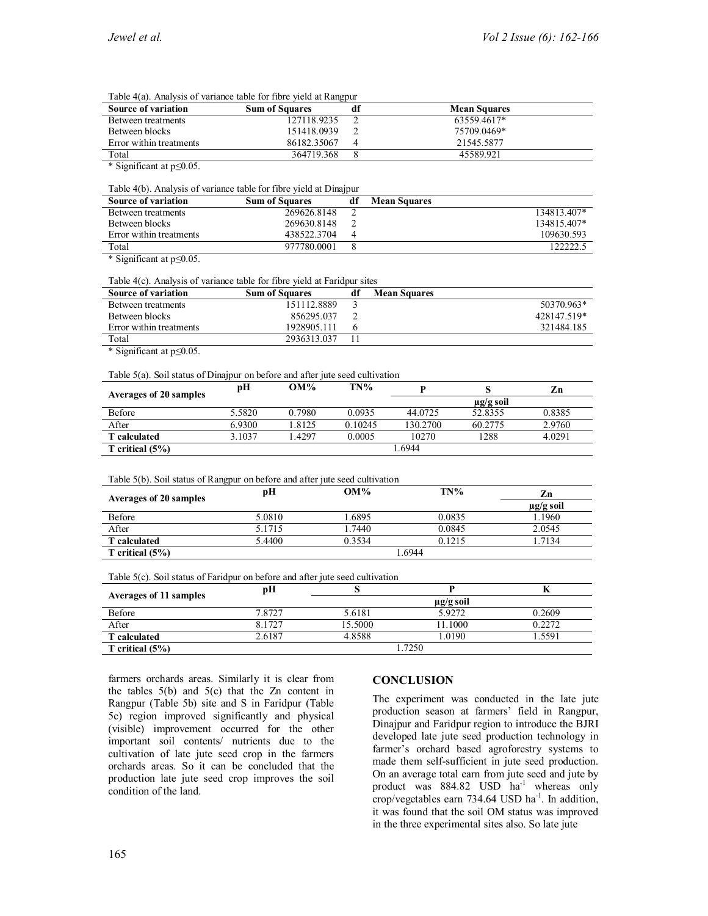| <b>Source of variation</b> | .<br><b>Sum of Squares</b> | df | <b>Mean Squares</b> |
|----------------------------|----------------------------|----|---------------------|
| Between treatments         | 127118.9235                |    | 63559.4617*         |
| Between blocks             | 151418.0939                |    | 75709.0469*         |
| Error within treatments    | 86182.35067                | 4  | 21545.5877          |
| Total                      | 364719.368                 |    | 45589 921           |

\* Significant at p≤0.05.

Table 4(b). Analysis of variance table for fibre yield at Dinajpur

| <b>Source of variation</b> | <b>Sum of Squares</b> | df | <b>Mean Squares</b> |             |
|----------------------------|-----------------------|----|---------------------|-------------|
| Between treatments         | 269626.8148           |    |                     | 134813.407* |
| Between blocks             | 269630.8148           |    |                     | 134815.407* |
| Error within treatments    | 438522.3704           | 4  |                     | 109630.593  |
| Total                      | 977780.0001           |    |                     | 122222.1    |

\* Significant at p≤0.05.

Table 4(c). Analysis of variance table for fibre yield at Faridpur sites

| <b>Source of variation</b> | <b>Sum of Squares</b> | <b>Mean Squares</b> |             |
|----------------------------|-----------------------|---------------------|-------------|
| Between treatments         | 151112.8889           |                     | 50370.963*  |
| Between blocks             | 856295.037            |                     | 428147.519* |
| Error within treatments    | 1928905.111           |                     | 321484.185  |
| Total                      | 2936313.037           |                     |             |

\* Significant at p≤0.05.

Table 5(a). Soil status of Dinajpur on before and after jute seed cultivation

| Averages of 20 samples | pН     | $OM\%$ | TN%     |          |                | Zn     |
|------------------------|--------|--------|---------|----------|----------------|--------|
|                        |        |        |         |          | $\mu$ g/g soil |        |
| Before                 | 5.5820 | 0.7980 | 0.0935  | 44.0725  | 52.8355        | 0.8385 |
| After                  | 6.9300 | 1.8125 | 0.10245 | 130.2700 | 60.2775        | 2.9760 |
| <b>T</b> calculated    | 3.1037 | 4297   | 0.0005  | 10270    | 1288           | 4.0291 |
| T critical $(5%)$      |        |        |         | .6944    |                |        |

| Table 5(b). Soil status of Rangpur on before and after jute seed cultivation |  |  |  |
|------------------------------------------------------------------------------|--|--|--|
|                                                                              |  |  |  |
|                                                                              |  |  |  |
|                                                                              |  |  |  |

| Averages of 20 samples | рH     | $OM\%$ | TN%    | Zn             |  |
|------------------------|--------|--------|--------|----------------|--|
|                        |        |        |        | $\mu$ g/g soil |  |
| Before                 | 5.0810 | .6895  | 0.0835 | 1.1960         |  |
| After                  | 5.1715 | . 7440 | 0.0845 | 2.0545         |  |
| <b>T</b> calculated    | 5.4400 | 0.3534 | 0.1215 | 7134           |  |
| T critical $(5%)$      | .6944  |        |        |                |  |

Table 5(c). Soil status of Faridpur on before and after jute seed cultivation

| Averages of 11 samples | pН     |                |         |        |  |
|------------------------|--------|----------------|---------|--------|--|
|                        |        | $\mu$ g/g soil |         |        |  |
| Before                 | 7.8727 | 5.6181         | 5.9272  | 0.2609 |  |
| After                  | 8.1727 | 15.5000        | 11.1000 | 0.2272 |  |
| <b>T</b> calculated    | 2.6187 | 4.8588         | .0190   | 5591   |  |
| T critical $(5%)$      | .7250  |                |         |        |  |

farmers orchards areas. Similarly it is clear from the tables  $5(b)$  and  $5(c)$  that the Zn content in Rangpur (Table 5b) site and S in Faridpur (Table 5c) region improved significantly and physical (visible) improvement occurred for the other important soil contents/ nutrients due to the cultivation of late jute seed crop in the farmers orchards areas. So it can be concluded that the production late jute seed crop improves the soil condition of the land.

# **CONCLUSION**

The experiment was conducted in the late jute production season at farmers' field in Rangpur, Dinajpur and Faridpur region to introduce the BJRI developed late jute seed production technology in farmer's orchard based agroforestry systems to made them self-sufficient in jute seed production. On an average total earn from jute seed and jute by product was 884.82 USD ha<sup>-1</sup> whereas only crop/vegetables earn  $734.64$  USD ha<sup>-1</sup>. In addition, it was found that the soil OM status was improved in the three experimental sites also. So late jute